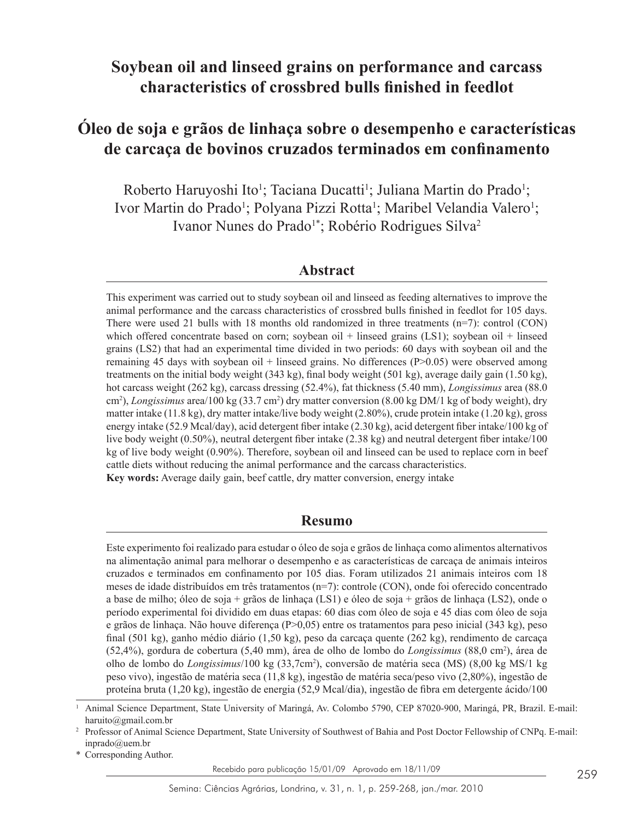# **Soybean oil and linseed grains on performance and carcass characteristics of crossbred bulls finished in feedlot**

# **Óleo de soja e grãos de linhaça sobre o desempenho e características de carcaça de bovinos cruzados terminados em confinamento**

Roberto Haruyoshi Ito<sup>1</sup>; Taciana Ducatti<sup>1</sup>; Juliana Martin do Prado<sup>1</sup>; Ivor Martin do Prado<sup>1</sup>; Polyana Pizzi Rotta<sup>1</sup>; Maribel Velandia Valero<sup>1</sup>; Ivanor Nunes do Prado<sup>1\*</sup>; Robério Rodrigues Silva<sup>2</sup>

# **Abstract**

This experiment was carried out to study soybean oil and linseed as feeding alternatives to improve the animal performance and the carcass characteristics of crossbred bulls finished in feedlot for 105 days. There were used 21 bulls with 18 months old randomized in three treatments (n=7): control (CON) which offered concentrate based on corn; soybean oil + linseed grains (LS1); soybean oil + linseed grains (LS2) that had an experimental time divided in two periods: 60 days with soybean oil and the remaining 45 days with soybean oil  $+$  linseed grains. No differences ( $P > 0.05$ ) were observed among treatments on the initial body weight (343 kg), final body weight (501 kg), average daily gain (1.50 kg), hot carcass weight (262 kg), carcass dressing (52.4%), fat thickness (5.40 mm), *Longissimus* area (88.0 cm<sup>2</sup>), *Longissimus* area/100 kg (33.7 cm<sup>2</sup>) dry matter conversion (8.00 kg DM/1 kg of body weight), dry matter intake (11.8 kg), dry matter intake/live body weight (2.80%), crude protein intake (1.20 kg), gross energy intake (52.9 Mcal/day), acid detergent fiber intake (2.30 kg), acid detergent fiber intake/100 kg of live body weight (0.50%), neutral detergent fiber intake (2.38 kg) and neutral detergent fiber intake/100 kg of live body weight (0.90%). Therefore, soybean oil and linseed can be used to replace corn in beef cattle diets without reducing the animal performance and the carcass characteristics. **Key words:** Average daily gain, beef cattle, dry matter conversion, energy intake

## **Resumo**

Este experimento foi realizado para estudar o óleo de soja e grãos de linhaça como alimentos alternativos na alimentação animal para melhorar o desempenho e as características de carcaça de animais inteiros cruzados e terminados em confinamento por 105 dias. Foram utilizados 21 animais inteiros com 18 meses de idade distribuídos em três tratamentos (n=7): controle (CON), onde foi oferecido concentrado a base de milho; óleo de soja + grãos de linhaça (LS1) e óleo de soja + grãos de linhaça (LS2), onde o período experimental foi dividido em duas etapas: 60 dias com óleo de soja e 45 dias com óleo de soja e grãos de linhaça. Não houve diferença (P>0,05) entre os tratamentos para peso inicial (343 kg), peso final (501 kg), ganho médio diário (1,50 kg), peso da carcaça quente (262 kg), rendimento de carcaça (52,4%), gordura de cobertura (5,40 mm), área de olho de lombo do *Longissimus* (88,0 cm<sup>2</sup> ), área de olho de lombo do *Longissimus*/100 kg (33,7cm<sup>2</sup> ), conversão de matéria seca (MS) (8,00 kg MS/1 kg peso vivo), ingestão de matéria seca (11,8 kg), ingestão de matéria seca/peso vivo (2,80%), ingestão de proteína bruta (1,20 kg), ingestão de energia (52,9 Mcal/dia), ingestão de fibra em detergente ácido/100

\* Corresponding Author.

Recebido para publicação 15/01/09 Aprovado em 18/11/09

<sup>1</sup> Animal Science Department, State University of Maringá, Av. Colombo 5790, CEP 87020-900, Maringá, PR, Brazil. E-mail: haruito@gmail.com.br

<sup>&</sup>lt;sup>2</sup> Professor of Animal Science Department, State University of Southwest of Bahia and Post Doctor Fellowship of CNPq. E-mail: inprado@uem.br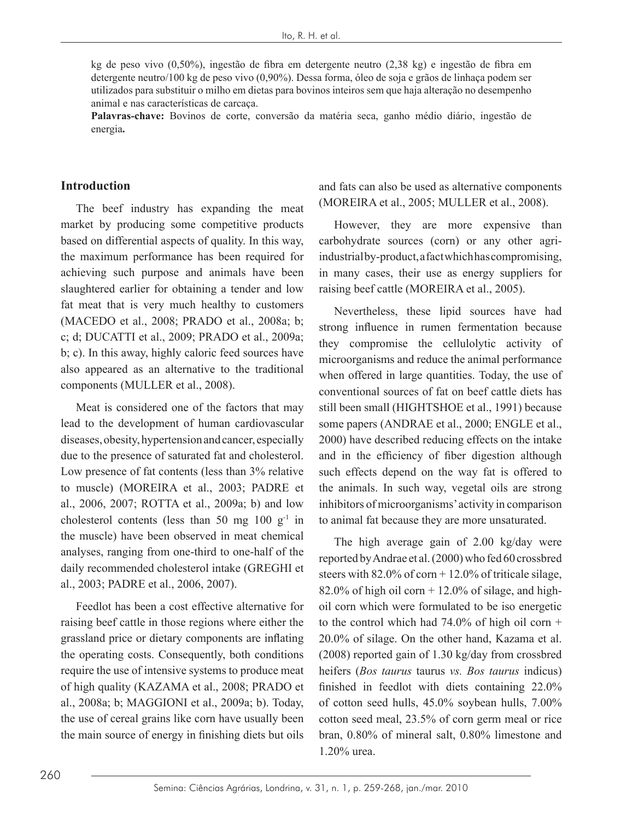kg de peso vivo (0,50%), ingestão de fibra em detergente neutro (2,38 kg) e ingestão de fibra em detergente neutro/100 kg de peso vivo (0,90%). Dessa forma, óleo de soja e grãos de linhaça podem ser utilizados para substituir o milho em dietas para bovinos inteiros sem que haja alteração no desempenho animal e nas características de carcaça.

**Palavras-chave:** Bovinos de corte, conversão da matéria seca, ganho médio diário, ingestão de energia**.** 

## **Introduction**

The beef industry has expanding the meat market by producing some competitive products based on differential aspects of quality. In this way, the maximum performance has been required for achieving such purpose and animals have been slaughtered earlier for obtaining a tender and low fat meat that is very much healthy to customers (MACEDO et al., 2008; PRADO et al., 2008a; b; c; d; DUCATTI et al., 2009; PRADO et al., 2009a; b; c). In this away, highly caloric feed sources have also appeared as an alternative to the traditional components (MULLER et al., 2008).

Meat is considered one of the factors that may lead to the development of human cardiovascular diseases, obesity, hypertension and cancer, especially due to the presence of saturated fat and cholesterol. Low presence of fat contents (less than 3% relative to muscle) (MOREIRA et al., 2003; PADRE et al., 2006, 2007; ROTTA et al., 2009a; b) and low cholesterol contents (less than 50 mg 100  $g^{-1}$  in the muscle) have been observed in meat chemical analyses, ranging from one-third to one-half of the daily recommended cholesterol intake (GREGHI et al., 2003; PADRE et al., 2006, 2007).

Feedlot has been a cost effective alternative for raising beef cattle in those regions where either the grassland price or dietary components are inflating the operating costs. Consequently, both conditions require the use of intensive systems to produce meat of high quality (KAZAMA et al., 2008; PRADO et al., 2008a; b; MAGGIONI et al., 2009a; b). Today, the use of cereal grains like corn have usually been the main source of energy in finishing diets but oils and fats can also be used as alternative components (MOREIRA et al., 2005; MULLER et al., 2008).

However, they are more expensive than carbohydrate sources (corn) or any other agriindustrial by-product, a fact which has compromising, in many cases, their use as energy suppliers for raising beef cattle (MOREIRA et al., 2005).

Nevertheless, these lipid sources have had strong influence in rumen fermentation because they compromise the cellulolytic activity of microorganisms and reduce the animal performance when offered in large quantities. Today, the use of conventional sources of fat on beef cattle diets has still been small (HIGHTSHOE et al., 1991) because some papers (ANDRAE et al., 2000; ENGLE et al., 2000) have described reducing effects on the intake and in the efficiency of fiber digestion although such effects depend on the way fat is offered to the animals. In such way, vegetal oils are strong inhibitors of microorganisms' activity in comparison to animal fat because they are more unsaturated.

The high average gain of 2.00 kg/day were reported by Andrae et al. (2000) who fed 60 crossbred steers with  $82.0\%$  of corn  $+ 12.0\%$  of triticale silage,  $82.0\%$  of high oil corn  $+12.0\%$  of silage, and highoil corn which were formulated to be iso energetic to the control which had  $74.0\%$  of high oil corn + 20.0% of silage. On the other hand, Kazama et al. (2008) reported gain of 1.30 kg/day from crossbred heifers (*Bos taurus* taurus *vs. Bos taurus* indicus) finished in feedlot with diets containing 22.0% of cotton seed hulls, 45.0% soybean hulls, 7.00% cotton seed meal, 23.5% of corn germ meal or rice bran, 0.80% of mineral salt, 0.80% limestone and 1.20% urea.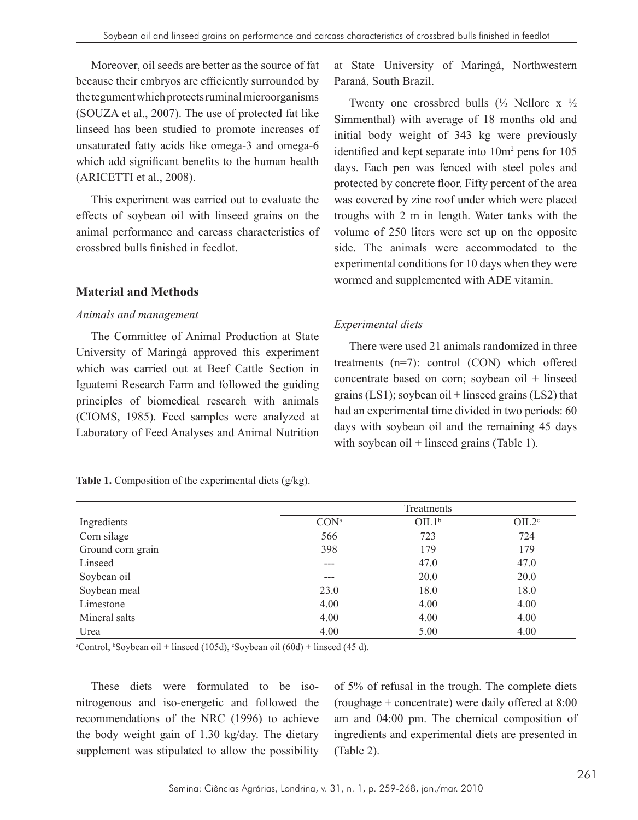Moreover, oil seeds are better as the source of fat because their embryos are efficiently surrounded by the tegument which protects ruminal microorganisms (SOUZA et al., 2007). The use of protected fat like linseed has been studied to promote increases of unsaturated fatty acids like omega-3 and omega-6 which add significant benefits to the human health (ARICETTI et al., 2008).

This experiment was carried out to evaluate the effects of soybean oil with linseed grains on the animal performance and carcass characteristics of crossbred bulls finished in feedlot.

# **Material and Methods**

#### *Animals and management*

The Committee of Animal Production at State University of Maringá approved this experiment which was carried out at Beef Cattle Section in Iguatemi Research Farm and followed the guiding principles of biomedical research with animals (CIOMS, 1985). Feed samples were analyzed at Laboratory of Feed Analyses and Animal Nutrition

at State University of Maringá, Northwestern Paraná, South Brazil.

Twenty one crossbred bulls  $(\frac{1}{2})$  Nellore x  $\frac{1}{2}$ Simmenthal) with average of 18 months old and initial body weight of 343 kg were previously identified and kept separate into 10m<sup>2</sup> pens for 105 days. Each pen was fenced with steel poles and protected by concrete floor. Fifty percent of the area was covered by zinc roof under which were placed troughs with 2 m in length. Water tanks with the volume of 250 liters were set up on the opposite side. The animals were accommodated to the experimental conditions for 10 days when they were wormed and supplemented with ADE vitamin.

# *Experimental diets*

There were used 21 animals randomized in three treatments (n=7): control (CON) which offered concentrate based on corn; soybean oil + linseed grains  $(LS1)$ ; soybean oil + linseed grains  $(LS2)$  that had an experimental time divided in two periods: 60 days with soybean oil and the remaining 45 days with soybean oil  $+$  linseed grains (Table 1).

|                   | Treatments       |                   |                   |  |  |
|-------------------|------------------|-------------------|-------------------|--|--|
| Ingredients       | CON <sup>a</sup> | OIL1 <sup>b</sup> | OIL2 <sup>c</sup> |  |  |
| Corn silage       | 566              | 723               | 724               |  |  |
| Ground corn grain | 398              | 179               | 179               |  |  |
| Linseed           | ---              | 47.0              | 47.0              |  |  |
| Soybean oil       | ---              | 20.0              | 20.0              |  |  |
| Soybean meal      | 23.0             | 18.0              | 18.0              |  |  |
| Limestone         | 4.00             | 4.00              | 4.00              |  |  |
| Mineral salts     | 4.00             | 4.00              | 4.00              |  |  |
| Urea              | 4.00             | 5.00              | 4.00              |  |  |

**Table 1.** Composition of the experimental diets (g/kg).

<sup>a</sup>Control, <sup>b</sup>Soybean oil + linseed (105d), <sup>c</sup>Soybean oil (60d) + linseed (45 d).

These diets were formulated to be isonitrogenous and iso-energetic and followed the recommendations of the NRC (1996) to achieve the body weight gain of 1.30 kg/day. The dietary supplement was stipulated to allow the possibility of 5% of refusal in the trough. The complete diets (roughage + concentrate) were daily offered at 8:00 am and 04:00 pm. The chemical composition of ingredients and experimental diets are presented in (Table 2).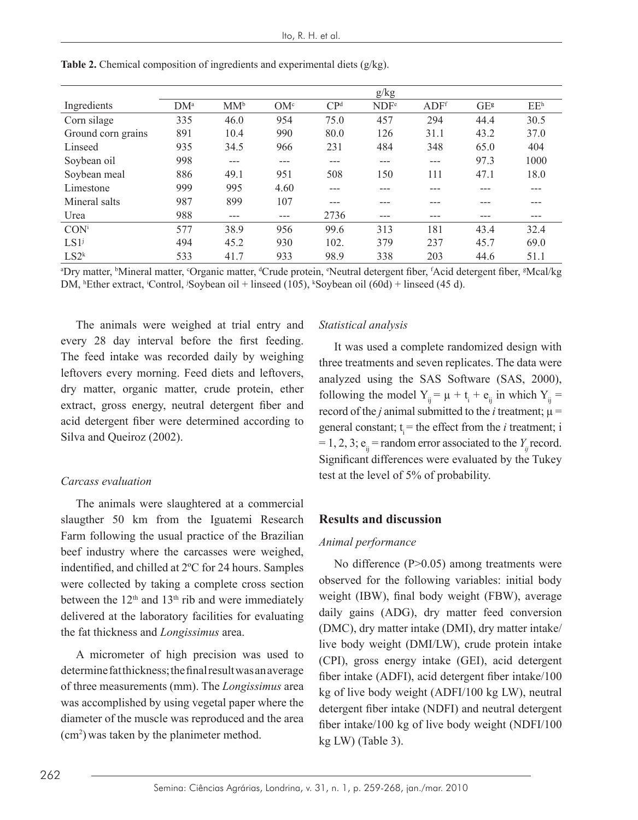|                    |        |        |                 |                 | g/kg             |                  |      |                 |
|--------------------|--------|--------|-----------------|-----------------|------------------|------------------|------|-----------------|
| Ingredients        | $DM^a$ | $MM^b$ | OM <sup>c</sup> | CP <sup>d</sup> | NDF <sup>e</sup> | ADF <sup>f</sup> | GEs  | EE <sup>h</sup> |
| Corn silage        | 335    | 46.0   | 954             | 75.0            | 457              | 294              | 44.4 | 30.5            |
| Ground corn grains | 891    | 10.4   | 990             | 80.0            | 126              | 31.1             | 43.2 | 37.0            |
| Linseed            | 935    | 34.5   | 966             | 231             | 484              | 348              | 65.0 | 404             |
| Soybean oil        | 998    | ---    | ---             | ---             | ---              | ---              | 97.3 | 1000            |
| Soybean meal       | 886    | 49.1   | 951             | 508             | 150              | 111              | 47.1 | 18.0            |
| Limestone          | 999    | 995    | 4.60            | ---             | ---              |                  |      |                 |
| Mineral salts      | 987    | 899    | 107             | ---             |                  |                  |      |                 |
| Urea               | 988    | ---    | $---$           | 2736            | ---              | ---              | ---  | ---             |
| CON <sup>i</sup>   | 577    | 38.9   | 956             | 99.6            | 313              | 181              | 43.4 | 32.4            |
| LS1 <sup>j</sup>   | 494    | 45.2   | 930             | 102.            | 379              | 237              | 45.7 | 69.0            |
| $LS2^k$            | 533    | 41.7   | 933             | 98.9            | 338              | 203              | 44.6 | 51.1            |

**Table 2.** Chemical composition of ingredients and experimental diets (g/kg).

<sup>a</sup>Dry matter, <sup>b</sup>Mineral matter, <sup>c</sup>Organic matter, <sup>d</sup>Crude protein, <sup>e</sup>Neutral detergent fiber, fAcid detergent fiber, <sup>g</sup>Mcal/kg DM, <sup>h</sup>Ether extract, <sup>i</sup>Control, <sup>j</sup>Soybean oil + linseed (105), <sup>k</sup>Soybean oil (60d) + linseed (45 d).

The animals were weighed at trial entry and every 28 day interval before the first feeding. The feed intake was recorded daily by weighing leftovers every morning. Feed diets and leftovers, dry matter, organic matter, crude protein, ether extract, gross energy, neutral detergent fiber and acid detergent fiber were determined according to Silva and Queiroz (2002).

#### *Carcass evaluation*

The animals were slaughtered at a commercial slaugther 50 km from the Iguatemi Research Farm following the usual practice of the Brazilian beef industry where the carcasses were weighed, indentified, and chilled at 2ºC for 24 hours. Samples were collected by taking a complete cross section between the  $12<sup>th</sup>$  and  $13<sup>th</sup>$  rib and were immediately delivered at the laboratory facilities for evaluating the fat thickness and *Longissimus* area.

A micrometer of high precision was used to determine fat thickness; the final result was an average of three measurements (mm). The *Longissimus* area was accomplished by using vegetal paper where the diameter of the muscle was reproduced and the area (cm2 ) was taken by the planimeter method.

#### *Statistical analysis*

It was used a complete randomized design with three treatments and seven replicates. The data were analyzed using the SAS Software (SAS, 2000), following the model  $Y_{ij} = \mu + t_i + e_{ij}$  in which  $Y_{ij} =$ record of the *j* animal submitted to the *i* treatment;  $\mu$  = general constant;  $t_i$  = the effect from the *i* treatment; i  $= 1, 2, 3$ ;  $e_{ii} =$  random error associated to the *Y<sub>ij</sub>* record. Significant differences were evaluated by the Tukey test at the level of 5% of probability.

### **Results and discussion**

#### *Animal performance*

No difference (P>0.05) among treatments were observed for the following variables: initial body weight (IBW), final body weight (FBW), average daily gains (ADG), dry matter feed conversion (DMC), dry matter intake (DMI), dry matter intake/ live body weight (DMI/LW), crude protein intake (CPI), gross energy intake (GEI), acid detergent fiber intake (ADFI), acid detergent fiber intake/100 kg of live body weight (ADFI/100 kg LW), neutral detergent fiber intake (NDFI) and neutral detergent fiber intake/100 kg of live body weight (NDFI/100 kg LW) (Table 3).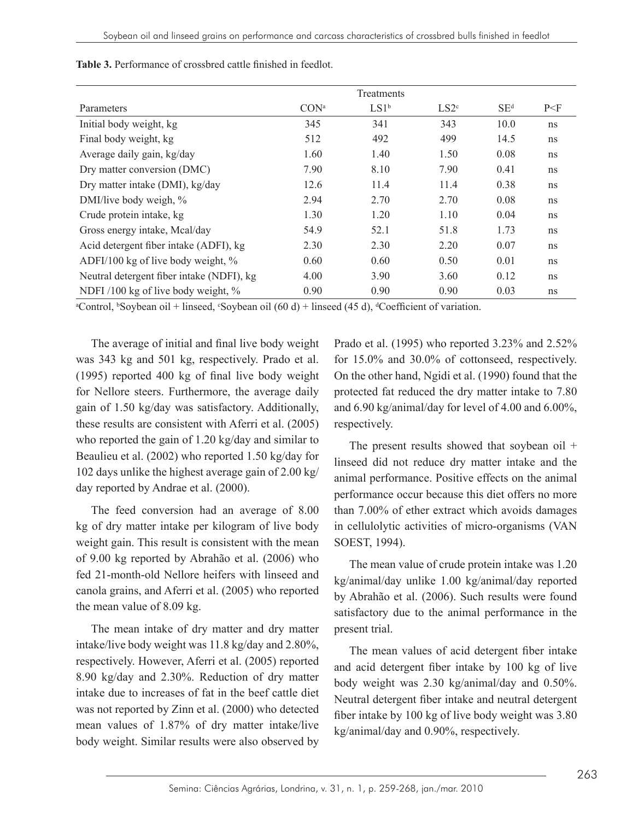|                                           | Treatments       |         |                  |        |                |
|-------------------------------------------|------------------|---------|------------------|--------|----------------|
| Parameters                                | CON <sup>a</sup> | $LS1^b$ | LS2 <sup>c</sup> | $SE^d$ | P <sub>F</sub> |
| Initial body weight, kg                   | 345              | 341     | 343              | 10.0   | ns             |
| Final body weight, kg                     | 512              | 492     | 499              | 14.5   | ns             |
| Average daily gain, kg/day                | 1.60             | 1.40    | 1.50             | 0.08   | ns             |
| Dry matter conversion (DMC)               | 7.90             | 8.10    | 7.90             | 0.41   | ns             |
| Dry matter intake (DMI), kg/day           | 12.6             | 11.4    | 11.4             | 0.38   | ns             |
| DMI/live body weigh, %                    | 2.94             | 2.70    | 2.70             | 0.08   | ns             |
| Crude protein intake, kg                  | 1.30             | 1.20    | 1.10             | 0.04   | ns             |
| Gross energy intake, Mcal/day             | 54.9             | 52.1    | 51.8             | 1.73   | ns             |
| Acid detergent fiber intake (ADFI), kg    | 2.30             | 2.30    | 2.20             | 0.07   | ns             |
| ADFI/100 kg of live body weight, $\%$     | 0.60             | 0.60    | 0.50             | 0.01   | ns             |
| Neutral detergent fiber intake (NDFI), kg | 4.00             | 3.90    | 3.60             | 0.12   | ns             |
| NDFI/100 kg of live body weight, %        | 0.90             | 0.90    | 0.90             | 0.03   | ns             |

**Table 3.** Performance of crossbred cattle finished in feedlot.

<sup>a</sup>Control, <sup>b</sup>Soybean oil + linseed, °Soybean oil (60 d) + linseed (45 d), <sup>a</sup>Coefficient of variation.

The average of initial and final live body weight was 343 kg and 501 kg, respectively. Prado et al. (1995) reported 400 kg of final live body weight for Nellore steers. Furthermore, the average daily gain of 1.50 kg/day was satisfactory. Additionally, these results are consistent with Aferri et al. (2005) who reported the gain of 1.20 kg/day and similar to Beaulieu et al. (2002) who reported 1.50 kg/day for 102 days unlike the highest average gain of 2.00 kg/ day reported by Andrae et al. (2000).

The feed conversion had an average of 8.00 kg of dry matter intake per kilogram of live body weight gain. This result is consistent with the mean of 9.00 kg reported by Abrahão et al. (2006) who fed 21-month-old Nellore heifers with linseed and canola grains, and Aferri et al. (2005) who reported the mean value of 8.09 kg.

The mean intake of dry matter and dry matter intake/live body weight was 11.8 kg/day and 2.80%, respectively. However, Aferri et al. (2005) reported 8.90 kg/day and 2.30%. Reduction of dry matter intake due to increases of fat in the beef cattle diet was not reported by Zinn et al. (2000) who detected mean values of 1.87% of dry matter intake/live body weight. Similar results were also observed by

Prado et al. (1995) who reported 3.23% and 2.52% for 15.0% and 30.0% of cottonseed, respectively. On the other hand, Ngidi et al. (1990) found that the protected fat reduced the dry matter intake to 7.80 and 6.90 kg/animal/day for level of 4.00 and 6.00%, respectively.

The present results showed that soybean oil + linseed did not reduce dry matter intake and the animal performance. Positive effects on the animal performance occur because this diet offers no more than 7.00% of ether extract which avoids damages in cellulolytic activities of micro-organisms (VAN SOEST, 1994).

The mean value of crude protein intake was 1.20 kg/animal/day unlike 1.00 kg/animal/day reported by Abrahão et al. (2006). Such results were found satisfactory due to the animal performance in the present trial.

The mean values of acid detergent fiber intake and acid detergent fiber intake by 100 kg of live body weight was 2.30 kg/animal/day and 0.50%. Neutral detergent fiber intake and neutral detergent fiber intake by 100 kg of live body weight was 3.80 kg/animal/day and 0.90%, respectively.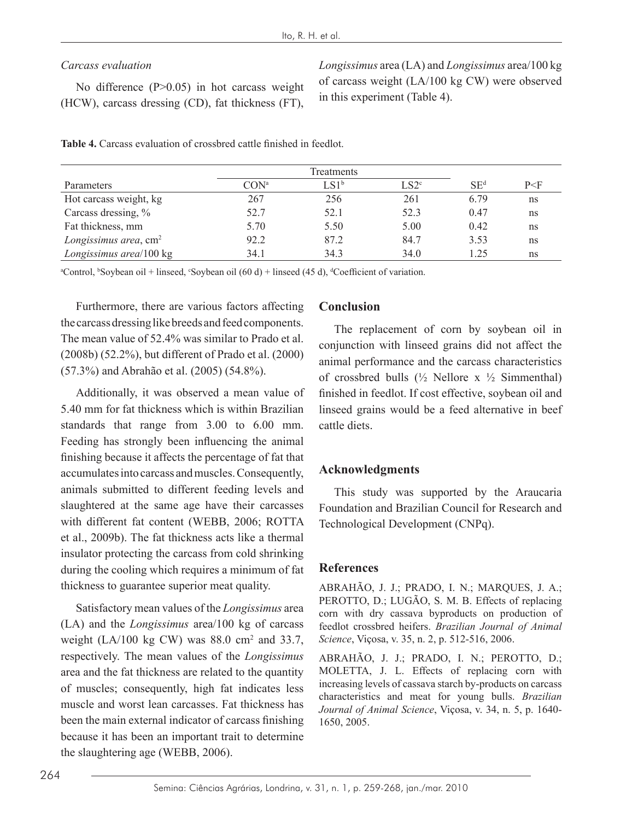## *Carcass evaluation*

No difference (P>0.05) in hot carcass weight (HCW), carcass dressing (CD), fat thickness (FT), *Longissimus* area (LA) and *Longissimus* area/100 kg of carcass weight (LA/100 kg CW) were observed in this experiment (Table 4).

| Parameters                        | CON <sup>a</sup> | LS1 <sup>b</sup> | LS2 <sup>c</sup> | SE <sup>d</sup> | $P<\!F$ |
|-----------------------------------|------------------|------------------|------------------|-----------------|---------|
| Hot carcass weight, kg            | 267              | 256              | 261              | 6.79            | ns      |
| Carcass dressing, %               | 52.7             | 52.1             | 52.3             | 0.47            | ns      |
| Fat thickness, mm                 | 5.70             | 5.50             | 5.00             | 0.42            | ns      |
| Longissimus area, cm <sup>2</sup> | 92.2             | 87.2             | 84.7             | 3.53            | ns      |
| Longissimus area/100 kg           | 34.1             | 34.3             | 34.0             | 1.25            | ns      |

**Table 4.** Carcass evaluation of crossbred cattle finished in feedlot.

a Control, b Soybean oil + linseed, c Soybean oil (60 d) + linseed (45 d), <sup>d</sup> Coefficient of variation.

Furthermore, there are various factors affecting the carcass dressing like breeds and feed components. The mean value of 52.4% was similar to Prado et al. (2008b) (52.2%), but different of Prado et al. (2000) (57.3%) and Abrahão et al. (2005) (54.8%).

Additionally, it was observed a mean value of 5.40 mm for fat thickness which is within Brazilian standards that range from 3.00 to 6.00 mm. Feeding has strongly been influencing the animal finishing because it affects the percentage of fat that accumulates into carcass and muscles. Consequently, animals submitted to different feeding levels and slaughtered at the same age have their carcasses with different fat content (WEBB, 2006; ROTTA et al., 2009b). The fat thickness acts like a thermal insulator protecting the carcass from cold shrinking during the cooling which requires a minimum of fat thickness to guarantee superior meat quality.

Satisfactory mean values of the *Longissimus* area (LA) and the *Longissimus* area/100 kg of carcass weight (LA/100 kg CW) was  $88.0 \text{ cm}^2$  and 33.7, respectively. The mean values of the *Longissimus* area and the fat thickness are related to the quantity of muscles; consequently, high fat indicates less muscle and worst lean carcasses. Fat thickness has been the main external indicator of carcass finishing because it has been an important trait to determine the slaughtering age (WEBB, 2006).

## **Conclusion**

The replacement of corn by soybean oil in conjunction with linseed grains did not affect the animal performance and the carcass characteristics of crossbred bulls  $(\frac{1}{2}$  Nellore x  $\frac{1}{2}$  Simmenthal) finished in feedlot. If cost effective, soybean oil and linseed grains would be a feed alternative in beef cattle diets.

# **Acknowledgments**

This study was supported by the Araucaria Foundation and Brazilian Council for Research and Technological Development (CNPq).

## **References**

ABRAHÃO, J. J.; PRADO, I. N.; MARQUES, J. A.; PEROTTO, D.; LUGÃO, S. M. B. Effects of replacing corn with dry cassava byproducts on production of feedlot crossbred heifers. *Brazilian Journal of Animal Science*, Viçosa, v. 35, n. 2, p. 512-516, 2006.

ABRAHÃO, J. J.; PRADO, I. N.; PEROTTO, D.; MOLETTA, J. L. Effects of replacing corn with increasing levels of cassava starch by-products on carcass characteristics and meat for young bulls. *Brazilian Journal of Animal Science*, Viçosa, v. 34, n. 5, p. 1640- 1650, 2005.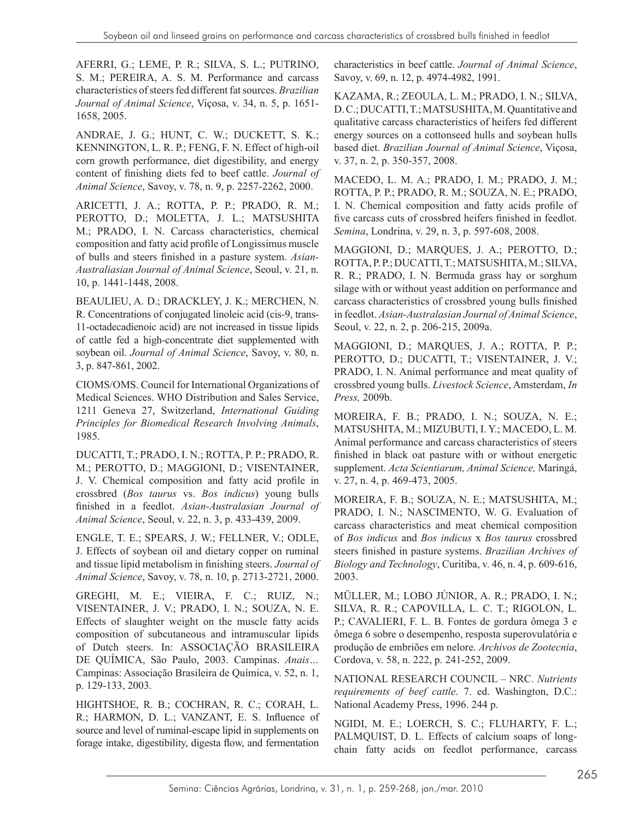AFERRI, G.; LEME, P. R.; SILVA, S. L.; PUTRINO, S. M.; PEREIRA, A. S. M. Performance and carcass characteristics of steers fed different fat sources. *Brazilian Journal of Animal Science*, Viçosa, v. 34, n. 5, p. 1651- 1658, 2005.

ANDRAE, J. G.; HUNT, C. W.; DUCKETT, S. K.; KENNINGTON, L. R. P.; FENG, F. N. Effect of high-oil corn growth performance, diet digestibility, and energy content of finishing diets fed to beef cattle. *Journal of Animal Science*, Savoy, v. 78, n. 9, p. 2257-2262, 2000.

ARICETTI, J. A.; ROTTA, P. P.; PRADO, R. M.; PEROTTO, D.; MOLETTA, J. L.; MATSUSHITA M.; PRADO, I. N. Carcass characteristics, chemical composition and fatty acid profile of Longissimus muscle of bulls and steers finished in a pasture system. *Asian-Australiasian Journal of Animal Science*, Seoul, v. 21, n. 10, p. 1441-1448, 2008.

BEAULIEU, A. D.; DRACKLEY, J. K.; MERCHEN, N. R. Concentrations of conjugated linoleic acid (cis-9, trans-11-octadecadienoic acid) are not increased in tissue lipids of cattle fed a high-concentrate diet supplemented with soybean oil. *Journal of Animal Science*, Savoy, v. 80, n. 3, p. 847-861, 2002.

CIOMS/OMS. Council for International Organizations of Medical Sciences. WHO Distribution and Sales Service, 1211 Geneva 27, Switzerland, *International Guiding Principles for Biomedical Research Involving Animals*, 1985.

DUCATTI, T.; PRADO, I. N.; ROTTA, P. P.; PRADO, R. M.; PEROTTO, D.; MAGGIONI, D.; VISENTAINER, J. V. Chemical composition and fatty acid profile in crossbred (*Bos taurus* vs. *Bos indicus*) young bulls finished in a feedlot. *Asian-Australasian Journal of Animal Science*, Seoul, v. 22, n. 3, p. 433-439, 2009.

ENGLE, T. E.; SPEARS, J. W.; FELLNER, V.; ODLE, J. Effects of soybean oil and dietary copper on ruminal and tissue lipid metabolism in finishing steers. *Journal of Animal Science*, Savoy, v. 78, n. 10, p. 2713-2721, 2000.

GREGHI, M. E.; VIEIRA, F. C.; RUIZ, N.; VISENTAINER, J. V.; PRADO, I. N.; SOUZA, N. E. Effects of slaughter weight on the muscle fatty acids composition of subcutaneous and intramuscular lipids of Dutch steers. In: ASSOCIAÇÃO BRASILEIRA DE QUÍMICA, São Paulo, 2003. Campinas. *Anais…* Campinas: Associação Brasileira de Química, v. 52, n. 1, p. 129-133, 2003.

HIGHTSHOE, R. B.; COCHRAN, R. C.; CORAH, L. R.; HARMON, D. L.; VANZANT, E. S. Influence of source and level of ruminal-escape lipid in supplements on forage intake, digestibility, digesta flow, and fermentation

characteristics in beef cattle. *Journal of Animal Science*, Savoy, v. 69, n. 12, p. 4974-4982, 1991.

KAZAMA, R.; ZEOULA, L. M.; PRADO, I. N.; SILVA, D. C.; DUCATTI, T.; MATSUSHITA, M. Quantitative and qualitative carcass characteristics of heifers fed different energy sources on a cottonseed hulls and soybean hulls based diet. *Brazilian Journal of Animal Science*, Viçosa, v. 37, n. 2, p. 350-357, 2008.

MACEDO, L. M. A.; PRADO, I. M.; PRADO, J. M.; ROTTA, P. P.; PRADO, R. M.; SOUZA, N. E.; PRADO, I. N. Chemical composition and fatty acids profile of five carcass cuts of crossbred heifers finished in feedlot. *Semina*, Londrina, v. 29, n. 3, p. 597-608, 2008.

MAGGIONI, D.; MARQUES, J. A.; PEROTTO, D.; ROTTA, P. P.; DUCATTI, T.; MATSUSHITA, M.; SILVA, R. R.; PRADO, I. N. Bermuda grass hay or sorghum silage with or without yeast addition on performance and carcass characteristics of crossbred young bulls finished in feedlot. *Asian-Australasian Journal of Animal Science*, Seoul, v. 22, n. 2, p. 206-215, 2009a.

MAGGIONI, D.; MARQUES, J. A.; ROTTA, P. P.; PEROTTO, D.; DUCATTI, T.; VISENTAINER, J. V.; PRADO, I. N. Animal performance and meat quality of crossbred young bulls. *Livestock Science*, Amsterdam, *In Press,* 2009b.

MOREIRA, F. B.; PRADO, I. N.; SOUZA, N. E.; MATSUSHITA, M.; MIZUBUTI, I. Y.; MACEDO, L. M. Animal performance and carcass characteristics of steers finished in black oat pasture with or without energetic supplement. *Acta Scientiarum, Animal Science,* Maringá, v. 27, n. 4, p. 469-473, 2005.

MOREIRA, F. B.; SOUZA, N. E.; MATSUSHITA, M.; PRADO, I. N.; NASCIMENTO, W. G. Evaluation of carcass characteristics and meat chemical composition of *Bos indicus* and *Bos indicus* x *Bos taurus* crossbred steers finished in pasture systems. *Brazilian Archives of Biology and Technology*, Curitiba, v. 46, n. 4, p. 609-616, 2003.

MÜLLER, M.; LOBO JÚNIOR, A. R.; PRADO, I. N.; SILVA, R. R.; CAPOVILLA, L. C. T.; RIGOLON, L. P.; CAVALIERI, F. L. B. Fontes de gordura ômega 3 e ômega 6 sobre o desempenho, resposta superovulatória e produção de embriões em nelore. *Archivos de Zootecnia*, Cordova, v. 58, n. 222, p. 241-252, 2009.

NATIONAL RESEARCH COUNCIL – NRC. *Nutrients requirements of beef cattle*. 7. ed. Washington, D.C.: National Academy Press, 1996. 244 p.

NGIDI, M. E.; LOERCH, S. C.; FLUHARTY, F. L.; PALMQUIST, D. L. Effects of calcium soaps of longchain fatty acids on feedlot performance, carcass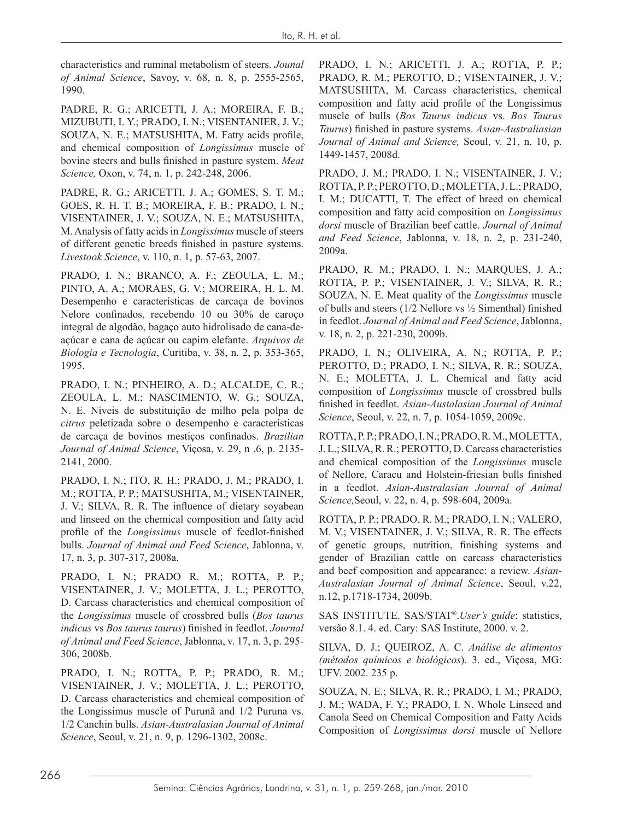characteristics and ruminal metabolism of steers. *Jounal of Animal Science*, Savoy, v. 68, n. 8, p. 2555-2565, 1990.

PADRE, R. G.; ARICETTI, J. A.; MOREIRA, F. B.; MIZUBUTI, I. Y.; PRADO, I. N.; VISENTANIER, J. V.; SOUZA, N. E.; MATSUSHITA, M. Fatty acids profile, and chemical composition of *Longissimus* muscle of bovine steers and bulls finished in pasture system. *Meat Science,* Oxon, v. 74, n. 1, p. 242-248, 2006.

PADRE, R. G.; ARICETTI, J. A.; GOMES, S. T. M.; GOES, R. H. T. B.; MOREIRA, F. B.; PRADO, I. N.; VISENTAINER, J. V.; SOUZA, N. E.; MATSUSHITA, M. Analysis of fatty acids in *Longissimus* muscle of steers of different genetic breeds finished in pasture systems. *Livestook Science*, v. 110, n. 1, p. 57-63, 2007.

PRADO, I. N.; BRANCO, A. F.; ZEOULA, L. M.; PINTO, A. A.; MORAES, G. V.; MOREIRA, H. L. M. Desempenho e características de carcaça de bovinos Nelore confinados, recebendo 10 ou 30% de caroço integral de algodão, bagaço auto hidrolisado de cana-deaçúcar e cana de açúcar ou capim elefante. *Arquivos de Biologia e Tecnologia*, Curitiba, v. 38, n. 2, p. 353-365, 1995.

PRADO, I. N.; PINHEIRO, A. D.; ALCALDE, C. R.; ZEOULA, L. M.; NASCIMENTO, W. G.; SOUZA, N. E. Níveis de substituição de milho pela polpa de *citrus* peletizada sobre o desempenho e características de carcaça de bovinos mestiços confinados. *Brazilian Journal of Animal Science*, Viçosa, v. 29, n .6, p. 2135- 2141, 2000.

PRADO, I. N.; ITO, R. H.; PRADO, J. M.; PRADO, I. M.; ROTTA, P. P.; MATSUSHITA, M.; VISENTAINER, J. V.; SILVA, R. R. The influence of dietary soyabean and linseed on the chemical composition and fatty acid profile of the *Longissimus* muscle of feedlot-finished bulls. *Journal of Animal and Feed Science*, Jablonna, v. 17, n. 3, p. 307-317, 2008a.

PRADO, I. N.; PRADO R. M.; ROTTA, P. P.; VISENTAINER, J. V.; MOLETTA, J. L.; PEROTTO, D. Carcass characteristics and chemical composition of the *Longissimus* muscle of crossbred bulls (*Bos taurus indicus* vs *Bos taurus taurus*) finished in feedlot. *Journal of Animal and Feed Science*, Jablonna, v. 17, n. 3, p. 295- 306, 2008b.

PRADO, I. N.; ROTTA, P. P.; PRADO, R. M.; VISENTAINER, J. V.; MOLETTA, J. L.; PEROTTO, D. Carcass characteristics and chemical composition of the Longissimus muscle of Purunã and 1/2 Puruna vs. 1/2 Canchin bulls. *Asian-Australasian Journal of Animal Science*, Seoul, v. 21, n. 9, p. 1296-1302, 2008c.

PRADO, I. N.; ARICETTI, J. A.; ROTTA, P. P.; PRADO, R. M.; PEROTTO, D.; VISENTAINER, J. V.; MATSUSHITA, M. Carcass characteristics, chemical composition and fatty acid profile of the Longissimus muscle of bulls (*Bos Taurus indicus* vs. *Bos Taurus Taurus*) finished in pasture systems. *Asian-Australiasian Journal of Animal and Science,* Seoul, v. 21, n. 10, p. 1449-1457, 2008d.

PRADO, J. M.; PRADO, I. N.; VISENTAINER, J. V.; ROTTA, P. P.; PEROTTO, D.; MOLETTA, J. L.; PRADO, I. M.; DUCATTI, T. The effect of breed on chemical composition and fatty acid composition on *Longissimus dorsi* muscle of Brazilian beef cattle. *Journal of Animal and Feed Science*, Jablonna, v. 18, n. 2, p. 231-240, 2009a.

PRADO, R. M.; PRADO, I. N.; MARQUES, J. A.; ROTTA, P. P.; VISENTAINER, J. V.; SILVA, R. R.; SOUZA, N. E. Meat quality of the *Longissimus* muscle of bulls and steers (1/2 Nellore vs ½ Simenthal) finished in feedlot. *Journal of Animal and Feed Science*, Jablonna, v. 18, n. 2, p. 221-230, 2009b.

PRADO, I. N.; OLIVEIRA, A. N.; ROTTA, P. P.; PEROTTO, D.; PRADO, I. N.; SILVA, R. R.; SOUZA, N. E.; MOLETTA, J. L. Chemical and fatty acid composition of *Longissimus* muscle of crossbred bulls finished in feedlot. *Asian-Austalasian Journal of Animal Science*, Seoul, v. 22, n. 7, p. 1054-1059, 2009c.

ROTTA, P. P.; PRADO, I. N.; PRADO, R. M., MOLETTA, J. L.; SILVA, R. R.; PEROTTO, D. Carcass characteristics and chemical composition of the *Longissimus* muscle of Nellore, Caracu and Holstein-friesian bulls finished in a feedlot. *Asian-Australasian Journal of Animal Science,*Seoul, v. 22, n. 4, p. 598-604, 2009a.

ROTTA, P. P.; PRADO, R. M.; PRADO, I. N.; VALERO, M. V.; VISENTAINER, J. V.; SILVA, R. R. The effects of genetic groups, nutrition, finishing systems and gender of Brazilian cattle on carcass characteristics and beef composition and appearance: a review. *Asian-Australasian Journal of Animal Science*, Seoul, v.22, n.12, p.1718-1734, 2009b.

SAS INSTITUTE. SAS/STAT<sup>®</sup>.User's guide: statistics, versão 8.1. 4. ed. Cary: SAS Institute, 2000. v. 2.

SILVA, D. J.; QUEIROZ, A. C. *Análise de alimentos (métodos químicos e biológicos*). 3. ed., Viçosa, MG: UFV. 2002. 235 p.

SOUZA, N. E.; SILVA, R. R.; PRADO, I. M.; PRADO, J. M.; WADA, F. Y.; PRADO, I. N. Whole Linseed and Canola Seed on Chemical Composition and Fatty Acids Composition of *Longissimus dorsi* muscle of Nellore